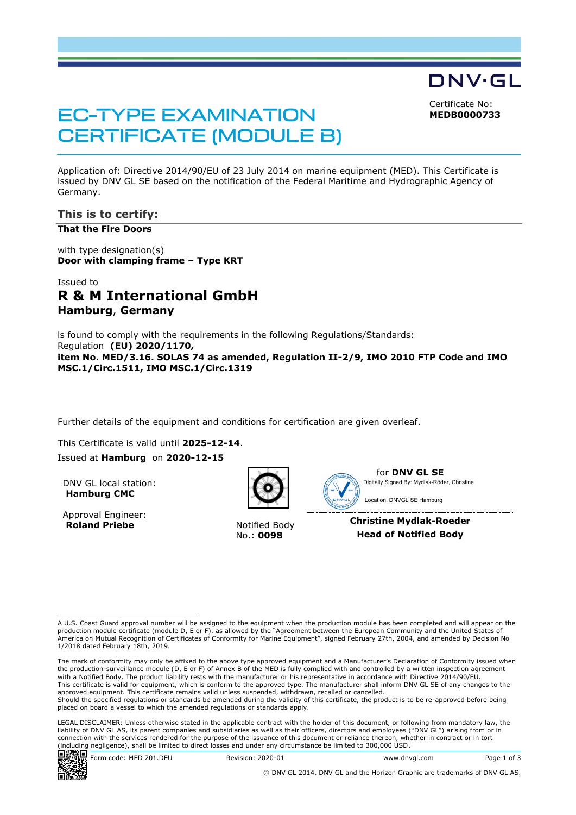DNV·GL Certificate No:

**MEDB0000733**

# **EC-TYPE EXAMINATION CERTIFICATE (MODULE B)**

Application of: Directive 2014/90/EU of 23 July 2014 on marine equipment (MED). This Certificate is issued by DNV GL SE based on the notification of the Federal Maritime and Hydrographic Agency of Germany.

### **This is to certify:**

**That the Fire Doors**

with type designation(s) **Door with clamping frame – Type KRT**

## Issued to **R & M International GmbH Hamburg**, **Germany**

is found to comply with the requirements in the following Regulations/Standards: Regulation **(EU) 2020/1170, item No. MED/3.16. SOLAS 74 as amended, Regulation II-2/9, IMO 2010 FTP Code and IMO MSC.1/Circ.1511, IMO MSC.1/Circ.1319**

Further details of the equipment and conditions for certification are given overleaf.

This Certificate is valid until **2025-12-14**.

Issued at **Hamburg** on **2020-12-15**

DNV GL local station: **Hamburg CMC**

Approval Engineer: **Roland Priebe** Notified Body



No.: **0098**



for **DNV GL SE** Digitally Signed By: Mydlak-Röder, Christine Location: DNVGL SE Hamburg

**Christine Mydlak-Roeder Head of Notified Body**

A U.S. Coast Guard approval number will be assigned to the equipment when the production module has been completed and will appear on the production module certificate (module D, E or F), as allowed by the "Agreement between the European Community and the United States of<br>America on Mutual Recognition of Certificates of Conformity for Marine Equipment", sign 1/2018 dated February 18th, 2019.

The mark of conformity may only be affixed to the above type approved equipment and a Manufacturer's Declaration of Conformity issued when<br>the production-surveillance module (D, E or F) of Annex B of the MED is fully compl with a Notified Body. The product liability rests with the manufacturer or his representative in accordance with Directive 2014/90/EU. This certificate is valid for equipment, which is conform to the approved type. The manufacturer shall inform DNV GL SE of any changes to the approved equipment. This certificate remains valid unless suspended, withdrawn, recalled or cancelled. Should the specified regulations or standards be amended during the validity of this certificate, the product is to be re-approved before being placed on board a vessel to which the amended regulations or standards apply.

LEGAL DISCLAIMER: Unless otherwise stated in the applicable contract with the holder of this document, or following from mandatory law, the liability of DNV GL AS, its parent companies and subsidiaries as well as their officers, directors and employees ("DNV GL") arising from or in connection with the services rendered for the purpose of the issuance of this document or reliance thereon, whether in contract or in tort (including negligence), shall be limited to direct losses and under any circumstance be limited to 300,000 USD.<br>■→本名■

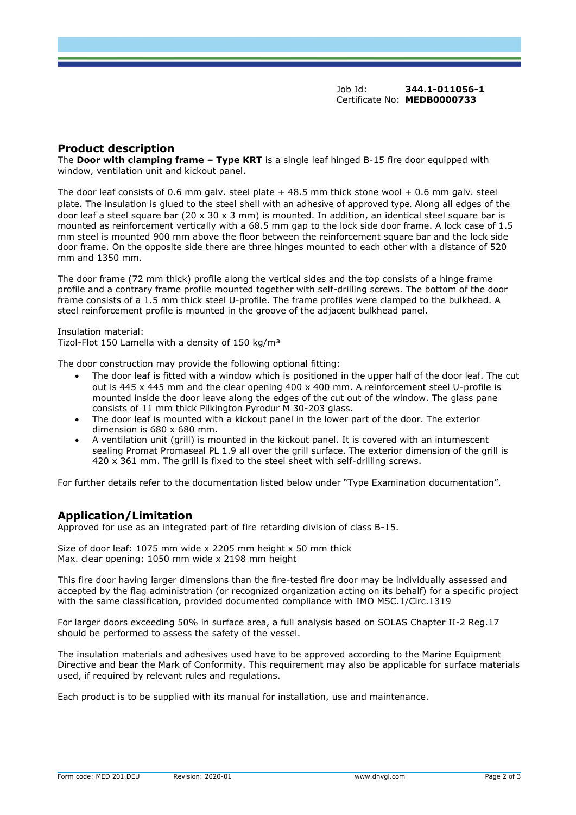Job Id: **344.1-011056-1** Certificate No: **MEDB0000733**

#### **Product description**

The **Door with clamping frame – Type KRT** is a single leaf hinged B-15 fire door equipped with window, ventilation unit and kickout panel.

The door leaf consists of 0.6 mm galv. steel plate  $+48.5$  mm thick stone wool  $+0.6$  mm galv. steel plate. The insulation is glued to the steel shell with an adhesive of approved type. Along all edges of the door leaf a steel square bar (20  $\times$  30  $\times$  3 mm) is mounted. In addition, an identical steel square bar is mounted as reinforcement vertically with a 68.5 mm gap to the lock side door frame. A lock case of 1.5 mm steel is mounted 900 mm above the floor between the reinforcement square bar and the lock side door frame. On the opposite side there are three hinges mounted to each other with a distance of 520 mm and 1350 mm.

The door frame (72 mm thick) profile along the vertical sides and the top consists of a hinge frame profile and a contrary frame profile mounted together with self-drilling screws. The bottom of the door frame consists of a 1.5 mm thick steel U-profile. The frame profiles were clamped to the bulkhead. A steel reinforcement profile is mounted in the groove of the adjacent bulkhead panel.

Insulation material: Tizol-Flot 150 Lamella with a density of 150 kg/m<sup>3</sup>

The door construction may provide the following optional fitting:

- The door leaf is fitted with a window which is positioned in the upper half of the door leaf. The cut out is 445 x 445 mm and the clear opening 400 x 400 mm. A reinforcement steel U-profile is mounted inside the door leave along the edges of the cut out of the window. The glass pane consists of 11 mm thick Pilkington Pyrodur M 30-203 glass.
- The door leaf is mounted with a kickout panel in the lower part of the door. The exterior dimension is 680 x 680 mm.
- A ventilation unit (grill) is mounted in the kickout panel. It is covered with an intumescent sealing Promat Promaseal PL 1.9 all over the grill surface. The exterior dimension of the grill is 420 x 361 mm. The grill is fixed to the steel sheet with self-drilling screws.

For further details refer to the documentation listed below under "Type Examination documentation".

#### **Application/Limitation**

Approved for use as an integrated part of fire retarding division of class B-15.

Size of door leaf: 1075 mm wide x 2205 mm height x 50 mm thick Max. clear opening: 1050 mm wide x 2198 mm height

This fire door having larger dimensions than the fire-tested fire door may be individually assessed and accepted by the flag administration (or recognized organization acting on its behalf) for a specific project with the same classification, provided documented compliance with IMO MSC.1/Circ.1319

For larger doors exceeding 50% in surface area, a full analysis based on SOLAS Chapter II-2 Reg.17 should be performed to assess the safety of the vessel.

The insulation materials and adhesives used have to be approved according to the Marine Equipment Directive and bear the Mark of Conformity. This requirement may also be applicable for surface materials used, if required by relevant rules and regulations.

Each product is to be supplied with its manual for installation, use and maintenance.